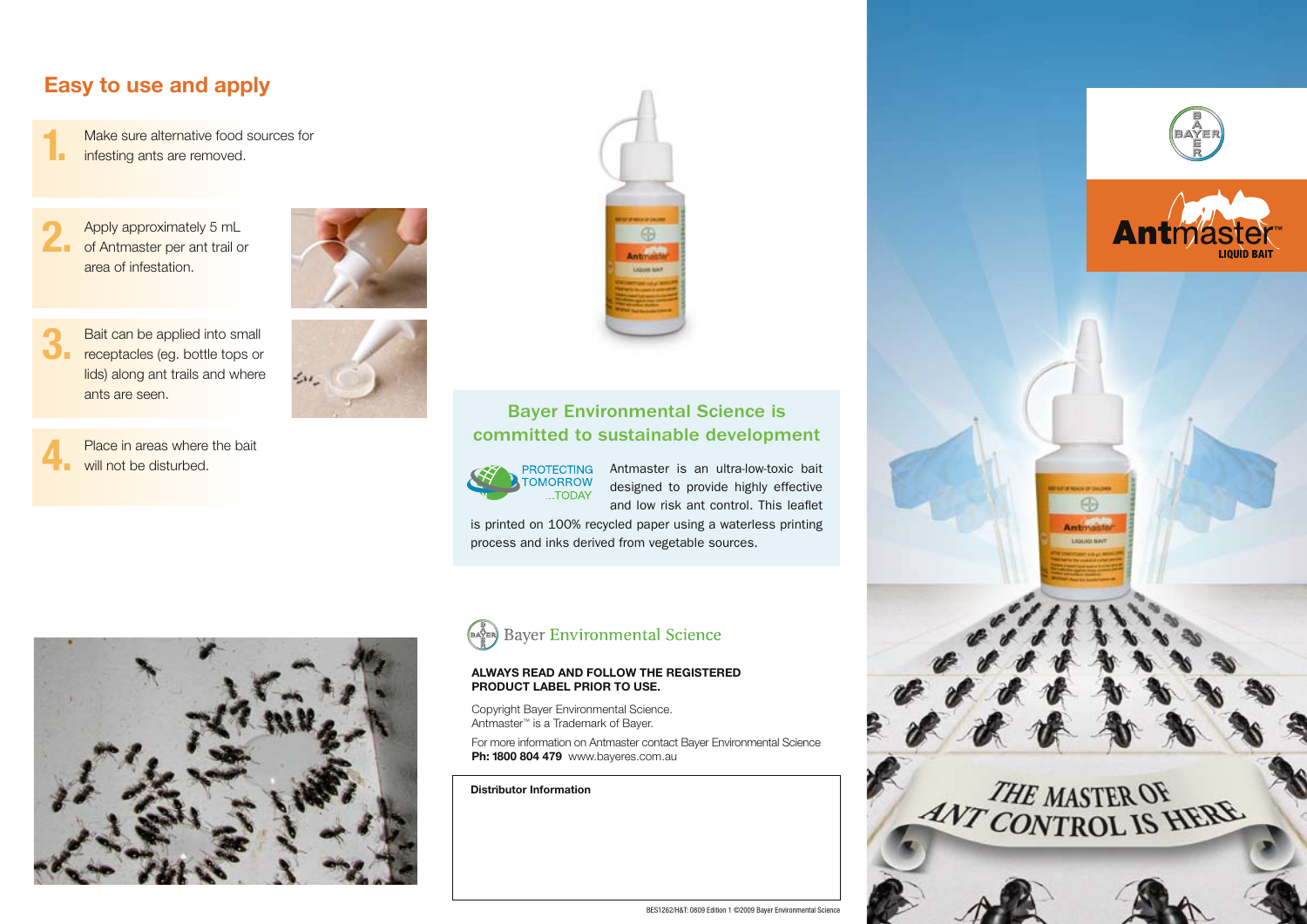## **Easy to use and apply**

 Make sure alternative food sources for infesting ants are removed. **1.**

 Apply approximately 5 mL of Antmaster per ant trail or area of infestation. **2.**



 Bait can be applied into small **3.** Bait can be applied into small<br> **3.** receptacles (eg. bottle tops or lids) along ant trails and where ants are seen.

 Place in areas where the bait will not be disturbed. **4.**





### Bayer Environmental Science is committed to sustainable development



Antmaster is an ultra-low-toxic bait designed to provide highly effective and low risk ant control. This leaflet

is printed on 100% recycled paper using a waterless printing process and inks derived from vegetable sources.





#### **Always read and follow the registered product label prior to use.**

Copyright Bayer Environmental Science. Antmaster™ is a Trademark of Bayer.

For more information on Antmaster contact Bayer Environmental Science **Ph: 1800 804 479** www.bayeres.com.au

**Distributor Information**